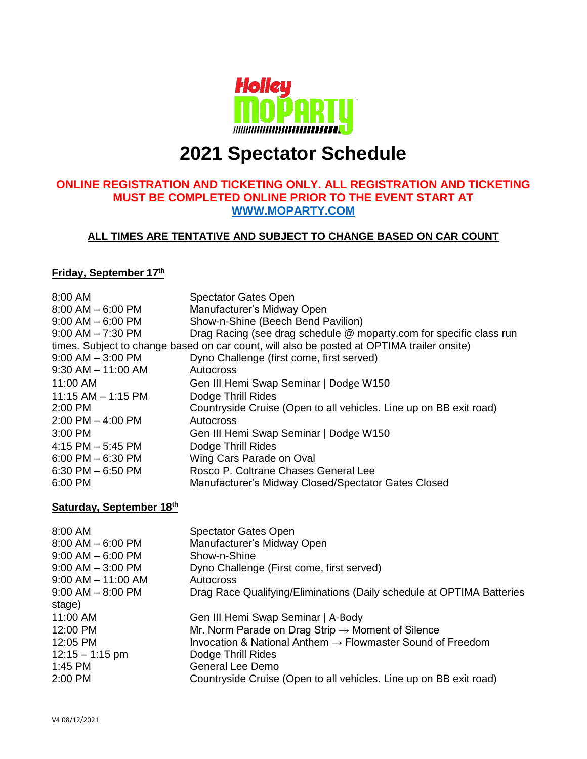

# **2021 Spectator Schedule**

## **ONLINE REGISTRATION AND TICKETING ONLY. ALL REGISTRATION AND TICKETING MUST BE COMPLETED ONLINE PRIOR TO THE EVENT START AT [WWW.MOPARTY.COM](http://www.moparty.com/)**

## **ALL TIMES ARE TENTATIVE AND SUBJECT TO CHANGE BASED ON CAR COUNT**

#### **Friday, September 17 th**

| 8:00 AM                  | <b>Spectator Gates Open</b>                                                                |
|--------------------------|--------------------------------------------------------------------------------------------|
| $8:00$ AM $-6:00$ PM     | Manufacturer's Midway Open                                                                 |
| $9:00$ AM $-6:00$ PM     | Show-n-Shine (Beech Bend Pavilion)                                                         |
| $9:00$ AM $- 7:30$ PM    | Drag Racing (see drag schedule @ moparty.com for specific class run                        |
|                          | times. Subject to change based on car count, will also be posted at OPTIMA trailer onsite) |
| $9:00$ AM $-$ 3:00 PM    | Dyno Challenge (first come, first served)                                                  |
| $9:30$ AM $-$ 11:00 AM   | Autocross                                                                                  |
| 11:00 AM                 | Gen III Hemi Swap Seminar   Dodge W150                                                     |
| $11:15$ AM $- 1:15$ PM   | Dodge Thrill Rides                                                                         |
| 2:00 PM                  | Countryside Cruise (Open to all vehicles. Line up on BB exit road)                         |
| $2:00$ PM $-$ 4:00 PM    | Autocross                                                                                  |
| 3:00 PM                  | Gen III Hemi Swap Seminar   Dodge W150                                                     |
| $4:15$ PM $-5:45$ PM     | Dodge Thrill Rides                                                                         |
| $6:00$ PM $-6:30$ PM     | Wing Cars Parade on Oval                                                                   |
| $6:30$ PM $-6:50$ PM     | Rosco P. Coltrane Chases General Lee                                                       |
| 6:00 PM                  | Manufacturer's Midway Closed/Spectator Gates Closed                                        |
| Saturday, September 18th |                                                                                            |
|                          |                                                                                            |
| 8:00 AM                  | <b>Spectator Gates Open</b>                                                                |
| $8:00$ AM $-6:00$ PM     | Manufacturer's Midway Open                                                                 |
| $9:00$ AM $-6:00$ PM     | Show-n-Shine                                                                               |
| $9:00$ AM $-$ 3:00 PM    | Dyno Challenge (First come, first served)                                                  |
| $9:00$ AM $-$ 11:00 AM   | Autocross                                                                                  |
| $9:00$ AM $-$ 8:00 PM    | Drag Race Qualifying/Eliminations (Daily schedule at OPTIMA Batteries                      |
| stage)                   |                                                                                            |
| 11:00 AM                 | Gen III Hemi Swap Seminar   A-Body                                                         |
| 12:00 PM                 | Mr. Norm Parade on Drag Strip $\rightarrow$ Moment of Silence                              |
| 12:05 PM                 | Invocation & National Anthem $\rightarrow$ Flowmaster Sound of Freedom                     |
| $12:15 - 1:15$ pm        | Dodge Thrill Rides                                                                         |
|                          |                                                                                            |
| 1:45 PM                  | <b>General Lee Demo</b>                                                                    |